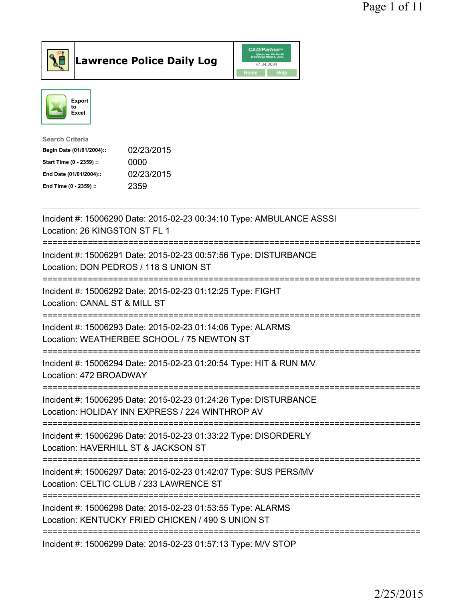

**Lawrence Police Daily Log** CAD/Partner



| <b>Search Criteria</b>    |            |
|---------------------------|------------|
| Begin Date (01/01/2004):: | 02/23/2015 |
| Start Time (0 - 2359) ::  | 0000       |
| End Date (01/01/2004)::   | 02/23/2015 |
| End Time (0 - 2359) ::    | 2359       |
|                           |            |

| Incident #: 15006290 Date: 2015-02-23 00:34:10 Type: AMBULANCE ASSSI<br>Location: 26 KINGSTON ST FL 1                                            |
|--------------------------------------------------------------------------------------------------------------------------------------------------|
| Incident #: 15006291 Date: 2015-02-23 00:57:56 Type: DISTURBANCE<br>Location: DON PEDROS / 118 S UNION ST                                        |
| Incident #: 15006292 Date: 2015-02-23 01:12:25 Type: FIGHT<br>Location: CANAL ST & MILL ST                                                       |
| Incident #: 15006293 Date: 2015-02-23 01:14:06 Type: ALARMS<br>Location: WEATHERBEE SCHOOL / 75 NEWTON ST                                        |
| Incident #: 15006294 Date: 2015-02-23 01:20:54 Type: HIT & RUN M/V<br>Location: 472 BROADWAY                                                     |
| Incident #: 15006295 Date: 2015-02-23 01:24:26 Type: DISTURBANCE<br>Location: HOLIDAY INN EXPRESS / 224 WINTHROP AV                              |
| ---------------------<br>Incident #: 15006296 Date: 2015-02-23 01:33:22 Type: DISORDERLY<br>Location: HAVERHILL ST & JACKSON ST                  |
| :========================<br>Incident #: 15006297 Date: 2015-02-23 01:42:07 Type: SUS PERS/MV<br>Location: CELTIC CLUB / 233 LAWRENCE ST         |
| ============================<br>Incident #: 15006298 Date: 2015-02-23 01:53:55 Type: ALARMS<br>Location: KENTUCKY FRIED CHICKEN / 490 S UNION ST |
| Incident #: 15006299 Date: 2015-02-23 01:57:13 Type: M/V STOP                                                                                    |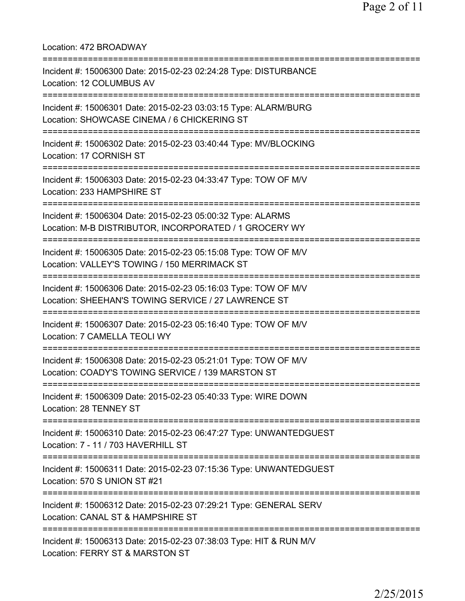| Location: 472 BROADWAY                                                                                                                          |
|-------------------------------------------------------------------------------------------------------------------------------------------------|
| Incident #: 15006300 Date: 2015-02-23 02:24:28 Type: DISTURBANCE<br>Location: 12 COLUMBUS AV                                                    |
| Incident #: 15006301 Date: 2015-02-23 03:03:15 Type: ALARM/BURG<br>Location: SHOWCASE CINEMA / 6 CHICKERING ST                                  |
| Incident #: 15006302 Date: 2015-02-23 03:40:44 Type: MV/BLOCKING<br>Location: 17 CORNISH ST                                                     |
| Incident #: 15006303 Date: 2015-02-23 04:33:47 Type: TOW OF M/V<br>Location: 233 HAMPSHIRE ST                                                   |
| Incident #: 15006304 Date: 2015-02-23 05:00:32 Type: ALARMS<br>Location: M-B DISTRIBUTOR, INCORPORATED / 1 GROCERY WY                           |
| Incident #: 15006305 Date: 2015-02-23 05:15:08 Type: TOW OF M/V<br>Location: VALLEY'S TOWING / 150 MERRIMACK ST                                 |
| Incident #: 15006306 Date: 2015-02-23 05:16:03 Type: TOW OF M/V<br>Location: SHEEHAN'S TOWING SERVICE / 27 LAWRENCE ST                          |
| Incident #: 15006307 Date: 2015-02-23 05:16:40 Type: TOW OF M/V<br>Location: 7 CAMELLA TEOLI WY                                                 |
| Incident #: 15006308 Date: 2015-02-23 05:21:01 Type: TOW OF M/V<br>Location: COADY'S TOWING SERVICE / 139 MARSTON ST                            |
| Incident #: 15006309 Date: 2015-02-23 05:40:33 Type: WIRE DOWN<br>Location: 28 TENNEY ST                                                        |
| Incident #: 15006310 Date: 2015-02-23 06:47:27 Type: UNWANTEDGUEST<br>Location: 7 - 11 / 703 HAVERHILL ST                                       |
| Incident #: 15006311 Date: 2015-02-23 07:15:36 Type: UNWANTEDGUEST<br>Location: 570 S UNION ST #21                                              |
| =====================================<br>Incident #: 15006312 Date: 2015-02-23 07:29:21 Type: GENERAL SERV<br>Location: CANAL ST & HAMPSHIRE ST |
| Incident #: 15006313 Date: 2015-02-23 07:38:03 Type: HIT & RUN M/V<br>Location: FERRY ST & MARSTON ST                                           |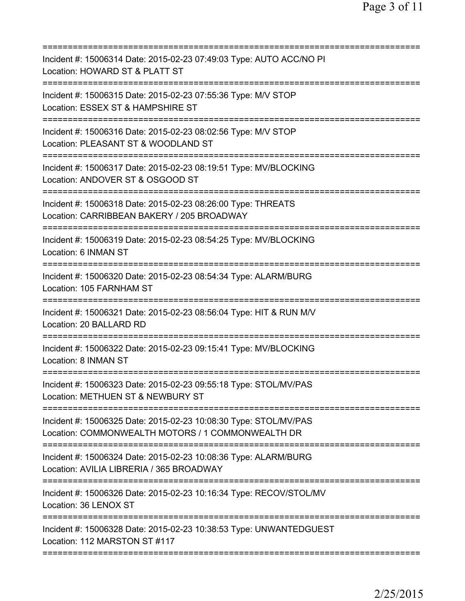| Incident #: 15006314 Date: 2015-02-23 07:49:03 Type: AUTO ACC/NO PI<br>Location: HOWARD ST & PLATT ST                                               |
|-----------------------------------------------------------------------------------------------------------------------------------------------------|
| Incident #: 15006315 Date: 2015-02-23 07:55:36 Type: M/V STOP<br>Location: ESSEX ST & HAMPSHIRE ST                                                  |
| Incident #: 15006316 Date: 2015-02-23 08:02:56 Type: M/V STOP<br>Location: PLEASANT ST & WOODLAND ST                                                |
| Incident #: 15006317 Date: 2015-02-23 08:19:51 Type: MV/BLOCKING<br>Location: ANDOVER ST & OSGOOD ST                                                |
| Incident #: 15006318 Date: 2015-02-23 08:26:00 Type: THREATS<br>Location: CARRIBBEAN BAKERY / 205 BROADWAY                                          |
| ;===================================<br>Incident #: 15006319 Date: 2015-02-23 08:54:25 Type: MV/BLOCKING<br>Location: 6 INMAN ST<br>--------------- |
| Incident #: 15006320 Date: 2015-02-23 08:54:34 Type: ALARM/BURG<br>Location: 105 FARNHAM ST                                                         |
| Incident #: 15006321 Date: 2015-02-23 08:56:04 Type: HIT & RUN M/V<br>Location: 20 BALLARD RD                                                       |
| Incident #: 15006322 Date: 2015-02-23 09:15:41 Type: MV/BLOCKING<br>Location: 8 INMAN ST                                                            |
| Incident #: 15006323 Date: 2015-02-23 09:55:18 Type: STOL/MV/PAS<br>Location: METHUEN ST & NEWBURY ST                                               |
| Incident #: 15006325 Date: 2015-02-23 10:08:30 Type: STOL/MV/PAS<br>Location: COMMONWEALTH MOTORS / 1 COMMONWEALTH DR                               |
| Incident #: 15006324 Date: 2015-02-23 10:08:36 Type: ALARM/BURG<br>Location: AVILIA LIBRERIA / 365 BROADWAY                                         |
| Incident #: 15006326 Date: 2015-02-23 10:16:34 Type: RECOV/STOL/MV<br>Location: 36 LENOX ST                                                         |
| Incident #: 15006328 Date: 2015-02-23 10:38:53 Type: UNWANTEDGUEST<br>Location: 112 MARSTON ST #117                                                 |
|                                                                                                                                                     |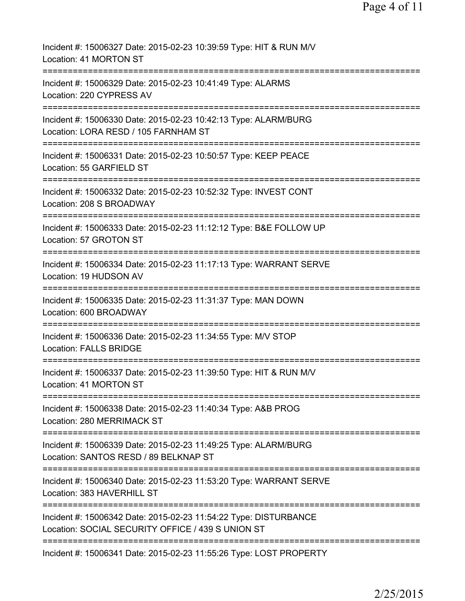| Incident #: 15006327 Date: 2015-02-23 10:39:59 Type: HIT & RUN M/V<br>Location: 41 MORTON ST                          |
|-----------------------------------------------------------------------------------------------------------------------|
| Incident #: 15006329 Date: 2015-02-23 10:41:49 Type: ALARMS<br>Location: 220 CYPRESS AV                               |
| Incident #: 15006330 Date: 2015-02-23 10:42:13 Type: ALARM/BURG<br>Location: LORA RESD / 105 FARNHAM ST               |
| Incident #: 15006331 Date: 2015-02-23 10:50:57 Type: KEEP PEACE<br>Location: 55 GARFIELD ST                           |
| Incident #: 15006332 Date: 2015-02-23 10:52:32 Type: INVEST CONT<br>Location: 208 S BROADWAY                          |
| Incident #: 15006333 Date: 2015-02-23 11:12:12 Type: B&E FOLLOW UP<br>Location: 57 GROTON ST                          |
| Incident #: 15006334 Date: 2015-02-23 11:17:13 Type: WARRANT SERVE<br>Location: 19 HUDSON AV                          |
| Incident #: 15006335 Date: 2015-02-23 11:31:37 Type: MAN DOWN<br>Location: 600 BROADWAY                               |
| Incident #: 15006336 Date: 2015-02-23 11:34:55 Type: M/V STOP<br><b>Location: FALLS BRIDGE</b>                        |
| Incident #: 15006337 Date: 2015-02-23 11:39:50 Type: HIT & RUN M/V<br>Location: 41 MORTON ST                          |
| Incident #: 15006338 Date: 2015-02-23 11:40:34 Type: A&B PROG<br>Location: 280 MERRIMACK ST                           |
| Incident #: 15006339 Date: 2015-02-23 11:49:25 Type: ALARM/BURG<br>Location: SANTOS RESD / 89 BELKNAP ST              |
| Incident #: 15006340 Date: 2015-02-23 11:53:20 Type: WARRANT SERVE<br>Location: 383 HAVERHILL ST                      |
| Incident #: 15006342 Date: 2015-02-23 11:54:22 Type: DISTURBANCE<br>Location: SOCIAL SECURITY OFFICE / 439 S UNION ST |
| Incident #: 15006341 Date: 2015-02-23 11:55:26 Type: LOST PROPERTY                                                    |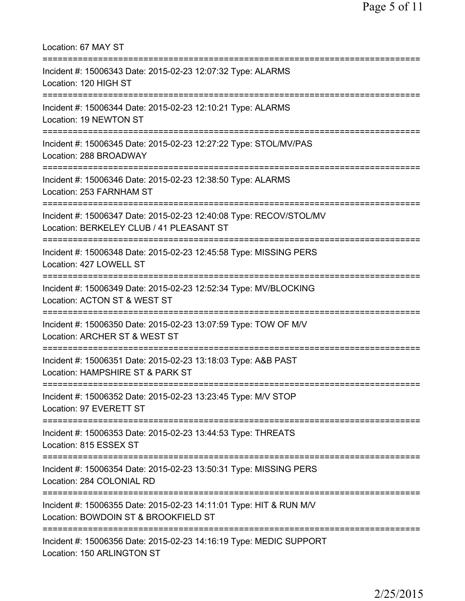| Location: 67 MAY ST<br>===============================                                                                                                                          |
|---------------------------------------------------------------------------------------------------------------------------------------------------------------------------------|
| Incident #: 15006343 Date: 2015-02-23 12:07:32 Type: ALARMS<br>Location: 120 HIGH ST<br>================================                                                        |
| Incident #: 15006344 Date: 2015-02-23 12:10:21 Type: ALARMS<br>Location: 19 NEWTON ST                                                                                           |
| Incident #: 15006345 Date: 2015-02-23 12:27:22 Type: STOL/MV/PAS<br>Location: 288 BROADWAY                                                                                      |
| =========================<br>Incident #: 15006346 Date: 2015-02-23 12:38:50 Type: ALARMS<br>Location: 253 FARNHAM ST                                                            |
| ====================<br>Incident #: 15006347 Date: 2015-02-23 12:40:08 Type: RECOV/STOL/MV<br>Location: BERKELEY CLUB / 41 PLEASANT ST<br>===================================== |
| Incident #: 15006348 Date: 2015-02-23 12:45:58 Type: MISSING PERS<br>Location: 427 LOWELL ST                                                                                    |
| Incident #: 15006349 Date: 2015-02-23 12:52:34 Type: MV/BLOCKING<br>Location: ACTON ST & WEST ST                                                                                |
| Incident #: 15006350 Date: 2015-02-23 13:07:59 Type: TOW OF M/V<br>Location: ARCHER ST & WEST ST                                                                                |
| Incident #: 15006351 Date: 2015-02-23 13:18:03 Type: A&B PAST<br>Location: HAMPSHIRE ST & PARK ST                                                                               |
| ======================================<br>Incident #: 15006352 Date: 2015-02-23 13:23:45 Type: M/V STOP<br>Location: 97 EVERETT ST                                              |
| Incident #: 15006353 Date: 2015-02-23 13:44:53 Type: THREATS<br>Location: 815 ESSEX ST                                                                                          |
| Incident #: 15006354 Date: 2015-02-23 13:50:31 Type: MISSING PERS<br>Location: 284 COLONIAL RD                                                                                  |
| Incident #: 15006355 Date: 2015-02-23 14:11:01 Type: HIT & RUN M/V<br>Location: BOWDOIN ST & BROOKFIELD ST                                                                      |
| Incident #: 15006356 Date: 2015-02-23 14:16:19 Type: MEDIC SUPPORT<br>Location: 150 ARLINGTON ST                                                                                |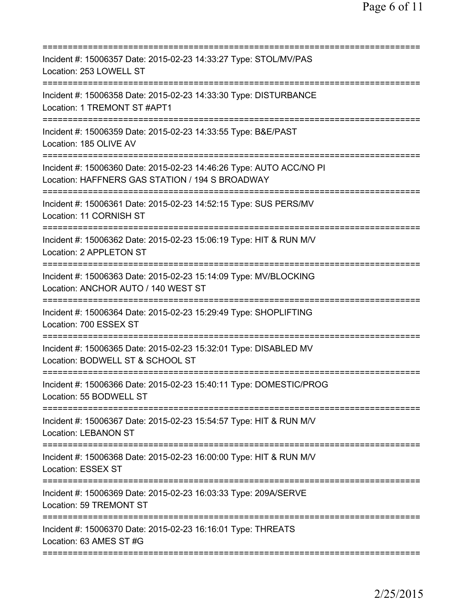| Incident #: 15006357 Date: 2015-02-23 14:33:27 Type: STOL/MV/PAS<br>Location: 253 LOWELL ST                            |
|------------------------------------------------------------------------------------------------------------------------|
| Incident #: 15006358 Date: 2015-02-23 14:33:30 Type: DISTURBANCE<br>Location: 1 TREMONT ST #APT1                       |
| Incident #: 15006359 Date: 2015-02-23 14:33:55 Type: B&E/PAST<br>Location: 185 OLIVE AV                                |
| Incident #: 15006360 Date: 2015-02-23 14:46:26 Type: AUTO ACC/NO PI<br>Location: HAFFNERS GAS STATION / 194 S BROADWAY |
| Incident #: 15006361 Date: 2015-02-23 14:52:15 Type: SUS PERS/MV<br>Location: 11 CORNISH ST                            |
| Incident #: 15006362 Date: 2015-02-23 15:06:19 Type: HIT & RUN M/V<br>Location: 2 APPLETON ST                          |
| Incident #: 15006363 Date: 2015-02-23 15:14:09 Type: MV/BLOCKING<br>Location: ANCHOR AUTO / 140 WEST ST                |
| Incident #: 15006364 Date: 2015-02-23 15:29:49 Type: SHOPLIFTING<br>Location: 700 ESSEX ST                             |
| Incident #: 15006365 Date: 2015-02-23 15:32:01 Type: DISABLED MV<br>Location: BODWELL ST & SCHOOL ST                   |
| Incident #: 15006366 Date: 2015-02-23 15:40:11 Type: DOMESTIC/PROG<br>Location: 55 BODWELL ST                          |
| Incident #: 15006367 Date: 2015-02-23 15:54:57 Type: HIT & RUN M/V<br><b>Location: LEBANON ST</b>                      |
| Incident #: 15006368 Date: 2015-02-23 16:00:00 Type: HIT & RUN M/V<br>Location: ESSEX ST                               |
| Incident #: 15006369 Date: 2015-02-23 16:03:33 Type: 209A/SERVE<br>Location: 59 TREMONT ST                             |
| Incident #: 15006370 Date: 2015-02-23 16:16:01 Type: THREATS<br>Location: 63 AMES ST #G                                |
|                                                                                                                        |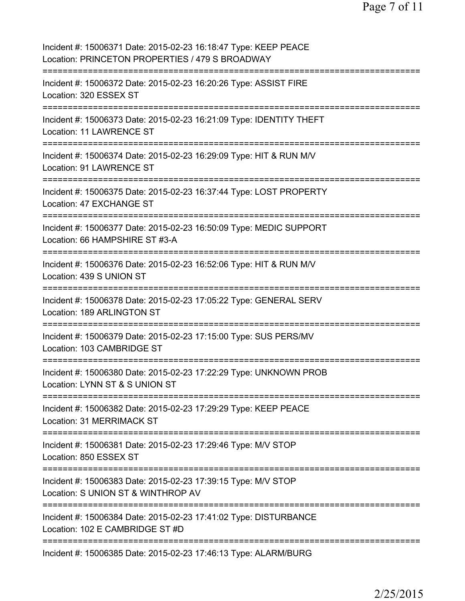| Incident #: 15006371 Date: 2015-02-23 16:18:47 Type: KEEP PEACE<br>Location: PRINCETON PROPERTIES / 479 S BROADWAY                     |
|----------------------------------------------------------------------------------------------------------------------------------------|
| Incident #: 15006372 Date: 2015-02-23 16:20:26 Type: ASSIST FIRE<br>Location: 320 ESSEX ST                                             |
| Incident #: 15006373 Date: 2015-02-23 16:21:09 Type: IDENTITY THEFT<br>Location: 11 LAWRENCE ST                                        |
| Incident #: 15006374 Date: 2015-02-23 16:29:09 Type: HIT & RUN M/V<br>Location: 91 LAWRENCE ST                                         |
| Incident #: 15006375 Date: 2015-02-23 16:37:44 Type: LOST PROPERTY<br>Location: 47 EXCHANGE ST<br>================================     |
| Incident #: 15006377 Date: 2015-02-23 16:50:09 Type: MEDIC SUPPORT<br>Location: 66 HAMPSHIRE ST #3-A<br>===============                |
| Incident #: 15006376 Date: 2015-02-23 16:52:06 Type: HIT & RUN M/V<br>Location: 439 S UNION ST<br>================================     |
| Incident #: 15006378 Date: 2015-02-23 17:05:22 Type: GENERAL SERV<br>Location: 189 ARLINGTON ST                                        |
| Incident #: 15006379 Date: 2015-02-23 17:15:00 Type: SUS PERS/MV<br>Location: 103 CAMBRIDGE ST                                         |
| Incident #: 15006380 Date: 2015-02-23 17:22:29 Type: UNKNOWN PROB<br>Location: LYNN ST & S UNION ST                                    |
| Incident #: 15006382 Date: 2015-02-23 17:29:29 Type: KEEP PEACE<br>Location: 31 MERRIMACK ST                                           |
| Incident #: 15006381 Date: 2015-02-23 17:29:46 Type: M/V STOP<br>Location: 850 ESSEX ST                                                |
| Incident #: 15006383 Date: 2015-02-23 17:39:15 Type: M/V STOP<br>Location: S UNION ST & WINTHROP AV<br>=============================== |
| Incident #: 15006384 Date: 2015-02-23 17:41:02 Type: DISTURBANCE<br>Location: 102 E CAMBRIDGE ST #D                                    |
| Incident #: 15006385 Date: 2015-02-23 17:46:13 Type: ALARM/BURG                                                                        |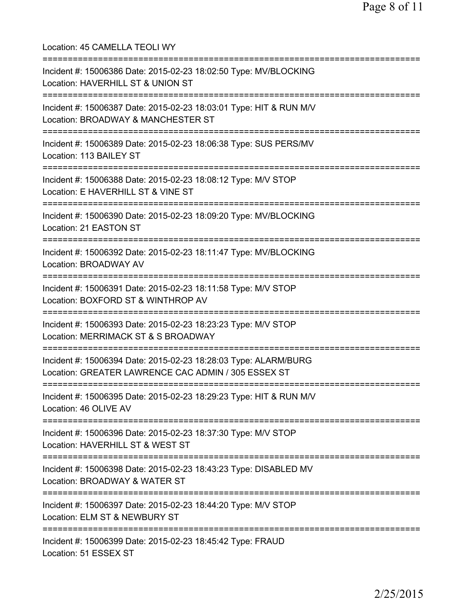Location: 45 CAMELLA TEOLI WY =========================================================================== Incident #: 15006386 Date: 2015-02-23 18:02:50 Type: MV/BLOCKING Location: HAVERHILL ST & UNION ST =========================================================================== Incident #: 15006387 Date: 2015-02-23 18:03:01 Type: HIT & RUN M/V Location: BROADWAY & MANCHESTER ST =========================================================================== Incident #: 15006389 Date: 2015-02-23 18:06:38 Type: SUS PERS/MV Location: 113 BAILEY ST =========================================================================== Incident #: 15006388 Date: 2015-02-23 18:08:12 Type: M/V STOP Location: E HAVERHILL ST & VINE ST =========================================================================== Incident #: 15006390 Date: 2015-02-23 18:09:20 Type: MV/BLOCKING Location: 21 EASTON ST =========================================================================== Incident #: 15006392 Date: 2015-02-23 18:11:47 Type: MV/BLOCKING Location: BROADWAY AV =========================================================================== Incident #: 15006391 Date: 2015-02-23 18:11:58 Type: M/V STOP Location: BOXFORD ST & WINTHROP AV =========================================================================== Incident #: 15006393 Date: 2015-02-23 18:23:23 Type: M/V STOP Location: MERRIMACK ST & S BROADWAY =========================================================================== Incident #: 15006394 Date: 2015-02-23 18:28:03 Type: ALARM/BURG Location: GREATER LAWRENCE CAC ADMIN / 305 ESSEX ST =========================================================================== Incident #: 15006395 Date: 2015-02-23 18:29:23 Type: HIT & RUN M/V Location: 46 OLIVE AV =========================================================================== Incident #: 15006396 Date: 2015-02-23 18:37:30 Type: M/V STOP Location: HAVERHILL ST & WEST ST =========================================================================== Incident #: 15006398 Date: 2015-02-23 18:43:23 Type: DISABLED MV Location: BROADWAY & WATER ST =========================================================================== Incident #: 15006397 Date: 2015-02-23 18:44:20 Type: M/V STOP Location: ELM ST & NEWBURY ST =========================================================================== Incident #: 15006399 Date: 2015-02-23 18:45:42 Type: FRAUD Location: 51 ESSEX ST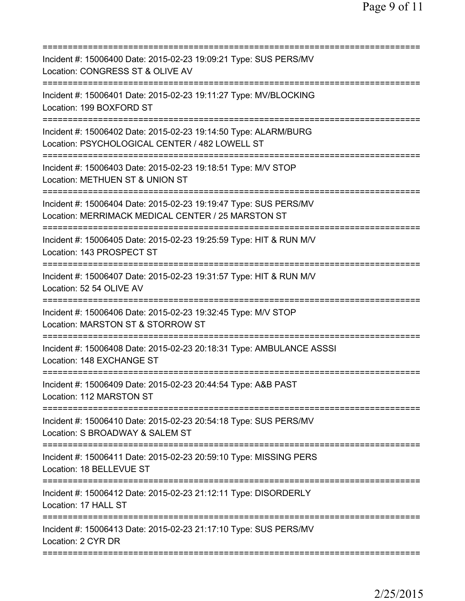| Incident #: 15006400 Date: 2015-02-23 19:09:21 Type: SUS PERS/MV<br>Location: CONGRESS ST & OLIVE AV                                                |
|-----------------------------------------------------------------------------------------------------------------------------------------------------|
| Incident #: 15006401 Date: 2015-02-23 19:11:27 Type: MV/BLOCKING<br>Location: 199 BOXFORD ST                                                        |
| Incident #: 15006402 Date: 2015-02-23 19:14:50 Type: ALARM/BURG<br>Location: PSYCHOLOGICAL CENTER / 482 LOWELL ST                                   |
| Incident #: 15006403 Date: 2015-02-23 19:18:51 Type: M/V STOP<br>Location: METHUEN ST & UNION ST                                                    |
| ;========================<br>Incident #: 15006404 Date: 2015-02-23 19:19:47 Type: SUS PERS/MV<br>Location: MERRIMACK MEDICAL CENTER / 25 MARSTON ST |
| ==================================<br>Incident #: 15006405 Date: 2015-02-23 19:25:59 Type: HIT & RUN M/V<br>Location: 143 PROSPECT ST               |
| Incident #: 15006407 Date: 2015-02-23 19:31:57 Type: HIT & RUN M/V<br>Location: 52 54 OLIVE AV                                                      |
| Incident #: 15006406 Date: 2015-02-23 19:32:45 Type: M/V STOP<br>Location: MARSTON ST & STORROW ST                                                  |
| Incident #: 15006408 Date: 2015-02-23 20:18:31 Type: AMBULANCE ASSSI<br>Location: 148 EXCHANGE ST                                                   |
| Incident #: 15006409 Date: 2015-02-23 20:44:54 Type: A&B PAST<br>Location: 112 MARSTON ST                                                           |
| Incident #: 15006410 Date: 2015-02-23 20:54:18 Type: SUS PERS/MV<br>Location: S BROADWAY & SALEM ST                                                 |
| Incident #: 15006411 Date: 2015-02-23 20:59:10 Type: MISSING PERS<br>Location: 18 BELLEVUE ST                                                       |
| Incident #: 15006412 Date: 2015-02-23 21:12:11 Type: DISORDERLY<br>Location: 17 HALL ST                                                             |
| Incident #: 15006413 Date: 2015-02-23 21:17:10 Type: SUS PERS/MV<br>Location: 2 CYR DR                                                              |
|                                                                                                                                                     |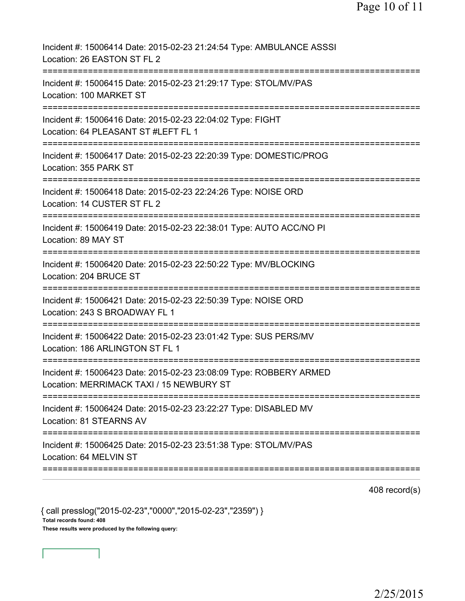| Incident #: 15006414 Date: 2015-02-23 21:24:54 Type: AMBULANCE ASSSI<br>Location: 26 EASTON ST FL 2                                   |
|---------------------------------------------------------------------------------------------------------------------------------------|
| Incident #: 15006415 Date: 2015-02-23 21:29:17 Type: STOL/MV/PAS<br>Location: 100 MARKET ST                                           |
| Incident #: 15006416 Date: 2015-02-23 22:04:02 Type: FIGHT<br>Location: 64 PLEASANT ST #LEFT FL 1                                     |
| Incident #: 15006417 Date: 2015-02-23 22:20:39 Type: DOMESTIC/PROG<br>Location: 355 PARK ST                                           |
| Incident #: 15006418 Date: 2015-02-23 22:24:26 Type: NOISE ORD<br>Location: 14 CUSTER ST FL 2                                         |
| Incident #: 15006419 Date: 2015-02-23 22:38:01 Type: AUTO ACC/NO PI<br>Location: 89 MAY ST                                            |
| Incident #: 15006420 Date: 2015-02-23 22:50:22 Type: MV/BLOCKING<br>Location: 204 BRUCE ST                                            |
| Incident #: 15006421 Date: 2015-02-23 22:50:39 Type: NOISE ORD<br>Location: 243 S BROADWAY FL 1                                       |
| Incident #: 15006422 Date: 2015-02-23 23:01:42 Type: SUS PERS/MV<br>Location: 186 ARLINGTON ST FL 1                                   |
| Incident #: 15006423 Date: 2015-02-23 23:08:09 Type: ROBBERY ARMED<br>Location: MERRIMACK TAXI / 15 NEWBURY ST                        |
| ======================================<br>Incident #: 15006424 Date: 2015-02-23 23:22:27 Type: DISABLED MV<br>Location: 81 STEARNS AV |
| Incident #: 15006425 Date: 2015-02-23 23:51:38 Type: STOL/MV/PAS<br>Location: 64 MELVIN ST                                            |

408 record(s)

{ call presslog("2015-02-23","0000","2015-02-23","2359") } Total records found: 408 These results were produced by the following query: